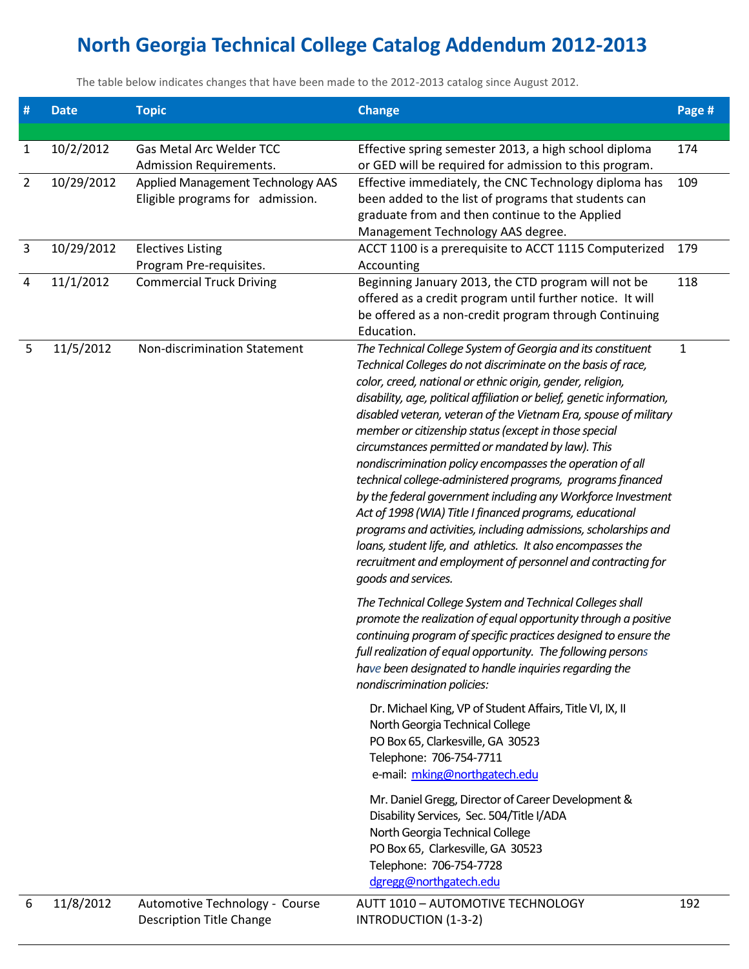## **North Georgia Technical College Catalog Addendum 2012-2013**

The table below indicates changes that have been made to the 2012-2013 catalog since August 2012.

| $\#$           | <b>Date</b> | <b>Topic</b>                                                          | <b>Change</b>                                                                                                                                                                                                                                                                                                                                                                                                                                                                                                                                                                                                                                                                                                                                                                                                                                                                                                                        | Page # |
|----------------|-------------|-----------------------------------------------------------------------|--------------------------------------------------------------------------------------------------------------------------------------------------------------------------------------------------------------------------------------------------------------------------------------------------------------------------------------------------------------------------------------------------------------------------------------------------------------------------------------------------------------------------------------------------------------------------------------------------------------------------------------------------------------------------------------------------------------------------------------------------------------------------------------------------------------------------------------------------------------------------------------------------------------------------------------|--------|
| $\mathbf{1}$   | 10/2/2012   | Gas Metal Arc Welder TCC<br><b>Admission Requirements.</b>            | Effective spring semester 2013, a high school diploma<br>or GED will be required for admission to this program.                                                                                                                                                                                                                                                                                                                                                                                                                                                                                                                                                                                                                                                                                                                                                                                                                      | 174    |
| $\overline{2}$ | 10/29/2012  | Applied Management Technology AAS<br>Eligible programs for admission. | Effective immediately, the CNC Technology diploma has<br>been added to the list of programs that students can<br>graduate from and then continue to the Applied<br>Management Technology AAS degree.                                                                                                                                                                                                                                                                                                                                                                                                                                                                                                                                                                                                                                                                                                                                 | 109    |
| $\overline{3}$ | 10/29/2012  | <b>Electives Listing</b><br>Program Pre-requisites.                   | ACCT 1100 is a prerequisite to ACCT 1115 Computerized<br>Accounting                                                                                                                                                                                                                                                                                                                                                                                                                                                                                                                                                                                                                                                                                                                                                                                                                                                                  | 179    |
| 4              | 11/1/2012   | <b>Commercial Truck Driving</b>                                       | Beginning January 2013, the CTD program will not be<br>offered as a credit program until further notice. It will<br>be offered as a non-credit program through Continuing<br>Education.                                                                                                                                                                                                                                                                                                                                                                                                                                                                                                                                                                                                                                                                                                                                              | 118    |
| 5              | 11/5/2012   | Non-discrimination Statement                                          | The Technical College System of Georgia and its constituent<br>Technical Colleges do not discriminate on the basis of race,<br>color, creed, national or ethnic origin, gender, religion,<br>disability, age, political affiliation or belief, genetic information,<br>disabled veteran, veteran of the Vietnam Era, spouse of military<br>member or citizenship status (except in those special<br>circumstances permitted or mandated by law). This<br>nondiscrimination policy encompasses the operation of all<br>technical college-administered programs, programs financed<br>by the federal government including any Workforce Investment<br>Act of 1998 (WIA) Title I financed programs, educational<br>programs and activities, including admissions, scholarships and<br>loans, student life, and athletics. It also encompasses the<br>recruitment and employment of personnel and contracting for<br>goods and services. | 1      |
|                |             |                                                                       | The Technical College System and Technical Colleges shall<br>promote the realization of equal opportunity through a positive<br>continuing program of specific practices designed to ensure the<br>full realization of equal opportunity. The following persons<br>have been designated to handle inquiries regarding the<br>nondiscrimination policies:                                                                                                                                                                                                                                                                                                                                                                                                                                                                                                                                                                             |        |
|                |             |                                                                       | Dr. Michael King, VP of Student Affairs, Title VI, IX, II<br>North Georgia Technical College<br>PO Box 65, Clarkesville, GA 30523<br>Telephone: 706-754-7711<br>e-mail: mking@northgatech.edu                                                                                                                                                                                                                                                                                                                                                                                                                                                                                                                                                                                                                                                                                                                                        |        |
|                |             |                                                                       | Mr. Daniel Gregg, Director of Career Development &<br>Disability Services, Sec. 504/Title I/ADA<br>North Georgia Technical College<br>PO Box 65, Clarkesville, GA 30523<br>Telephone: 706-754-7728<br>dgregg@northgatech.edu                                                                                                                                                                                                                                                                                                                                                                                                                                                                                                                                                                                                                                                                                                         |        |
| 6              | 11/8/2012   | Automotive Technology - Course<br><b>Description Title Change</b>     | AUTT 1010 - AUTOMOTIVE TECHNOLOGY<br>INTRODUCTION (1-3-2)                                                                                                                                                                                                                                                                                                                                                                                                                                                                                                                                                                                                                                                                                                                                                                                                                                                                            | 192    |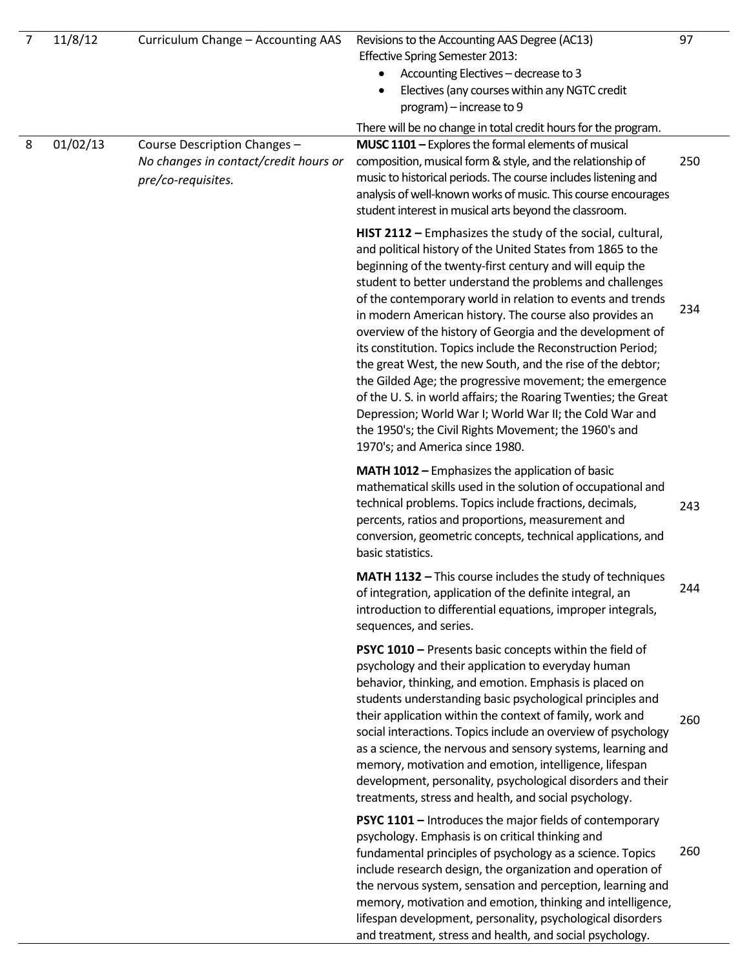| 7 | 11/8/12  | Curriculum Change - Accounting AAS                                                          | Revisions to the Accounting AAS Degree (AC13)<br>Effective Spring Semester 2013:<br>Accounting Electives - decrease to 3<br>Electives (any courses within any NGTC credit<br>program) - increase to 9                                                                                                                                                                                                                                                                                                                                                                                                                                                                                                                                                                                                                                                  | 97  |
|---|----------|---------------------------------------------------------------------------------------------|--------------------------------------------------------------------------------------------------------------------------------------------------------------------------------------------------------------------------------------------------------------------------------------------------------------------------------------------------------------------------------------------------------------------------------------------------------------------------------------------------------------------------------------------------------------------------------------------------------------------------------------------------------------------------------------------------------------------------------------------------------------------------------------------------------------------------------------------------------|-----|
| 8 | 01/02/13 | Course Description Changes -<br>No changes in contact/credit hours or<br>pre/co-requisites. | There will be no change in total credit hours for the program.<br>MUSC 1101 - Explores the formal elements of musical<br>composition, musical form & style, and the relationship of<br>music to historical periods. The course includes listening and<br>analysis of well-known works of music. This course encourages<br>student interest in musical arts beyond the classroom.                                                                                                                                                                                                                                                                                                                                                                                                                                                                       | 250 |
|   |          |                                                                                             | HIST 2112 - Emphasizes the study of the social, cultural,<br>and political history of the United States from 1865 to the<br>beginning of the twenty-first century and will equip the<br>student to better understand the problems and challenges<br>of the contemporary world in relation to events and trends<br>in modern American history. The course also provides an<br>overview of the history of Georgia and the development of<br>its constitution. Topics include the Reconstruction Period;<br>the great West, the new South, and the rise of the debtor;<br>the Gilded Age; the progressive movement; the emergence<br>of the U.S. in world affairs; the Roaring Twenties; the Great<br>Depression; World War I; World War II; the Cold War and<br>the 1950's; the Civil Rights Movement; the 1960's and<br>1970's; and America since 1980. | 234 |
|   |          |                                                                                             | <b>MATH 1012 - Emphasizes the application of basic</b><br>mathematical skills used in the solution of occupational and<br>technical problems. Topics include fractions, decimals,<br>percents, ratios and proportions, measurement and<br>conversion, geometric concepts, technical applications, and<br>basic statistics.                                                                                                                                                                                                                                                                                                                                                                                                                                                                                                                             | 243 |
|   |          |                                                                                             | <b>MATH 1132 - This course includes the study of techniques</b><br>of integration, application of the definite integral, an<br>introduction to differential equations, improper integrals,<br>sequences, and series.                                                                                                                                                                                                                                                                                                                                                                                                                                                                                                                                                                                                                                   | 244 |
|   |          |                                                                                             | PSYC 1010 - Presents basic concepts within the field of<br>psychology and their application to everyday human<br>behavior, thinking, and emotion. Emphasis is placed on<br>students understanding basic psychological principles and<br>their application within the context of family, work and<br>social interactions. Topics include an overview of psychology<br>as a science, the nervous and sensory systems, learning and<br>memory, motivation and emotion, intelligence, lifespan<br>development, personality, psychological disorders and their<br>treatments, stress and health, and social psychology.                                                                                                                                                                                                                                     | 260 |
|   |          |                                                                                             | <b>PSYC 1101 - Introduces the major fields of contemporary</b><br>psychology. Emphasis is on critical thinking and<br>fundamental principles of psychology as a science. Topics<br>include research design, the organization and operation of<br>the nervous system, sensation and perception, learning and<br>memory, motivation and emotion, thinking and intelligence,<br>lifespan development, personality, psychological disorders<br>and treatment, stress and health, and social psychology.                                                                                                                                                                                                                                                                                                                                                    | 260 |